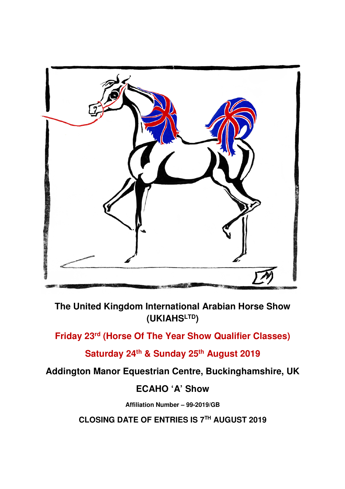

**The United Kingdom International Arabian Horse Show (UKIAHSLTD)** 

**Friday 23rd (Horse Of The Year Show Qualifier Classes)** 

**Saturday 24th & Sunday 25th August 2019** 

**Addington Manor Equestrian Centre, Buckinghamshire, UK** 

# **ECAHO 'A' Show**

**Affiliation Number – 99-2019/GB** 

**CLOSING DATE OF ENTRIES IS 7TH AUGUST 2019**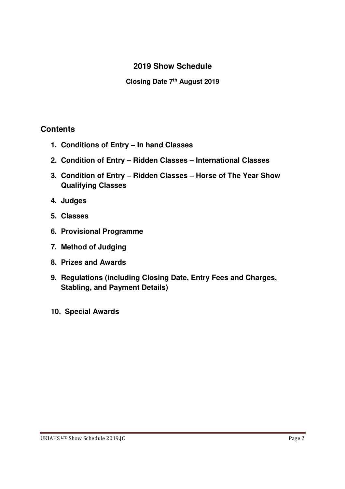# **2019 Show Schedule**

**Closing Date 7th August 2019** 

## **Contents**

- **1. Conditions of Entry In hand Classes**
- **2. Condition of Entry Ridden Classes International Classes**
- **3. Condition of Entry Ridden Classes Horse of The Year Show Qualifying Classes**
- **4. Judges**
- **5. Classes**
- **6. Provisional Programme**
- **7. Method of Judging**
- **8. Prizes and Awards**
- **9. Regulations (including Closing Date, Entry Fees and Charges, Stabling, and Payment Details)**
- **10. Special Awards**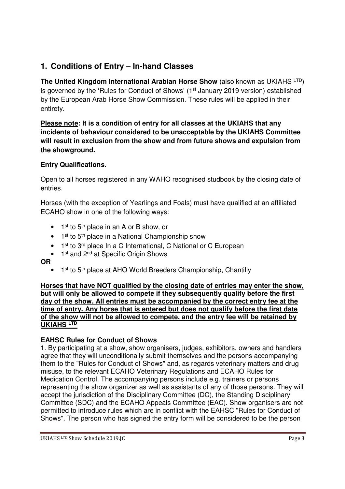# **1. Conditions of Entry – In-hand Classes**

**The United Kingdom International Arabian Horse Show (also known as UKIAHS LTD)** is governed by the 'Rules for Conduct of Shows' (1st January 2019 version) established by the European Arab Horse Show Commission. These rules will be applied in their entirety.

**Please note: It is a condition of entry for all classes at the UKIAHS that any incidents of behaviour considered to be unacceptable by the UKIAHS Committee will result in exclusion from the show and from future shows and expulsion from the showground.** 

### **Entry Qualifications.**

Open to all horses registered in any WAHO recognised studbook by the closing date of entries.

Horses (with the exception of Yearlings and Foals) must have qualified at an affiliated ECAHO show in one of the following ways:

- $\bullet$  1<sup>st</sup> to 5<sup>th</sup> place in an A or B show, or
- $\bullet$  1<sup>st</sup> to 5<sup>th</sup> place in a National Championship show
- 1<sup>st</sup> to 3<sup>rd</sup> place In a C International, C National or C European
- 1<sup>st</sup> and 2<sup>nd</sup> at Specific Origin Shows

**OR** 

• 1<sup>st</sup> to 5<sup>th</sup> place at AHO World Breeders Championship, Chantilly

**Horses that have NOT qualified by the closing date of entries may enter the show, but will only be allowed to compete if they subsequently qualify before the first day of the show. All entries must be accompanied by the correct entry fee at the time of entry. Any horse that is entered but does not qualify before the first date of the show will not be allowed to compete, and the entry fee will be retained by UKIAHS LTD**

### **EAHSC Rules for Conduct of Shows**

1. By participating at a show, show organisers, judges, exhibitors, owners and handlers agree that they will unconditionally submit themselves and the persons accompanying them to the "Rules for Conduct of Shows" and, as regards veterinary matters and drug misuse, to the relevant ECAHO Veterinary Regulations and ECAHO Rules for Medication Control. The accompanying persons include e.g. trainers or persons representing the show organizer as well as assistants of any of those persons. They will accept the jurisdiction of the Disciplinary Committee (DC), the Standing Disciplinary Committee (SDC) and the ECAHO Appeals Committee (EAC). Show organisers are not permitted to introduce rules which are in conflict with the EAHSC "Rules for Conduct of Shows". The person who has signed the entry form will be considered to be the person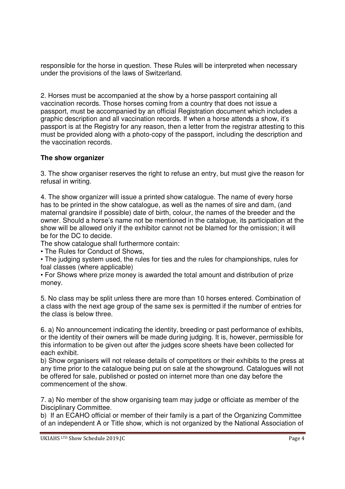responsible for the horse in question. These Rules will be interpreted when necessary under the provisions of the laws of Switzerland.

2. Horses must be accompanied at the show by a horse passport containing all vaccination records. Those horses coming from a country that does not issue a passport, must be accompanied by an official Registration document which includes a graphic description and all vaccination records. If when a horse attends a show, it's passport is at the Registry for any reason, then a letter from the registrar attesting to this must be provided along with a photo-copy of the passport, including the description and the vaccination records.

### **The show organizer**

3. The show organiser reserves the right to refuse an entry, but must give the reason for refusal in writing.

4. The show organizer will issue a printed show catalogue. The name of every horse has to be printed in the show catalogue, as well as the names of sire and dam, (and maternal grandsire if possible) date of birth, colour, the names of the breeder and the owner. Should a horse's name not be mentioned in the catalogue, its participation at the show will be allowed only if the exhibitor cannot not be blamed for the omission; it will be for the DC to decide.

The show catalogue shall furthermore contain:

• The Rules for Conduct of Shows,

• The judging system used, the rules for ties and the rules for championships, rules for foal classes (where applicable)

• For Shows where prize money is awarded the total amount and distribution of prize money.

5. No class may be split unless there are more than 10 horses entered. Combination of a class with the next age group of the same sex is permitted if the number of entries for the class is below three.

6. a) No announcement indicating the identity, breeding or past performance of exhibits, or the identity of their owners will be made during judging. It is, however, permissible for this information to be given out after the judges score sheets have been collected for each exhibit.

b) Show organisers will not release details of competitors or their exhibits to the press at any time prior to the catalogue being put on sale at the showground. Catalogues will not be offered for sale, published or posted on internet more than one day before the commencement of the show.

7. a) No member of the show organising team may judge or officiate as member of the Disciplinary Committee.

b) If an ECAHO official or member of their family is a part of the Organizing Committee of an independent A or Title show, which is not organized by the National Association of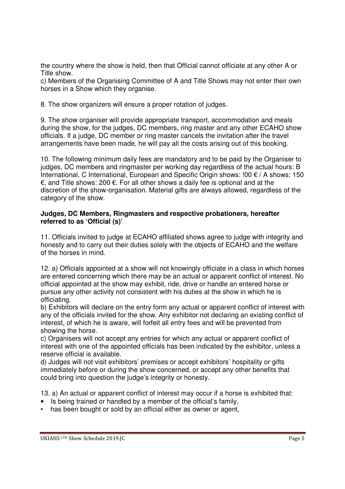the country where the show is held, then that Official cannot officiate at any other A or Title show.

c) Members of the Organising Committee of A and Title Shows may not enter their own horses in a Show which they organise.

8. The show organizers will ensure a proper rotation of judges.

9. The show organiser will provide appropriate transport, accommodation and meals during the show, for the judges, DC members, ring master and any other ECAHO show officials. If a judge, DC member or ring master cancels the invitation after the travel arrangements have been made, he will pay all the costs arising out of this booking.

10. The following minimum daily fees are mandatory and to be paid by the Organiser to judges, DC members and ringmaster per working day regardless of the actual hours: B International, C International, European and Specific Origin shows: !00 € / A shows: 150 €, and Title shows: 200 €. For all other shows a daily fee is optional and at the discretion of the show-organisation. Material gifts are always allowed, regardless of the category of the show.

### **Judges, DC Members, Ringmasters and respective probationers, hereafter referred to as 'Official (s)'**

11. Officials invited to judge at ECAHO affiliated shows agree to judge with integrity and honesty and to carry out their duties solely with the objects of ECAHO and the welfare of the horses in mind.

12. a) Officials appointed at a show will not knowingly officiate in a class in which horses are entered concerning which there may be an actual or apparent conflict of interest. No official appointed at the show may exhibit, ride, drive or handle an entered horse or pursue any other activity not consistent with his duties at the show in which he is officiating.

b) Exhibitors will declare on the entry form any actual or apparent conflict of interest with any of the officials invited for the show. Any exhibitor not declaring an existing conflict of interest, of which he is aware, will forfeit all entry fees and will be prevented from showing the horse.

c) Organisers will not accept any entries for which any actual or apparent conflict of interest with one of the appointed officials has been indicated by the exhibitor, unless a reserve official is available.

d) Judges will not visit exhibitors' premises or accept exhibitors' hospitality or gifts immediately before or during the show concerned, or accept any other benefits that could bring into question the judge's integrity or honesty.

13. a) An actual or apparent conflict of interest may occur if a horse is exhibited that:

- Is being trained or handled by a member of the official's family,
- has been bought or sold by an official either as owner or agent,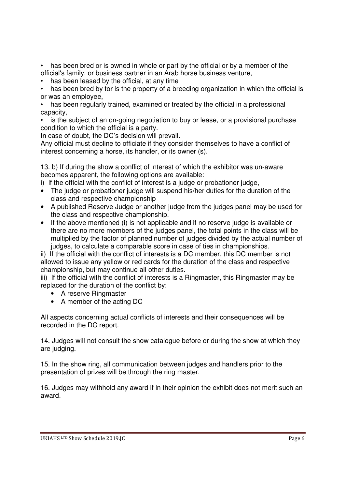• has been bred or is owned in whole or part by the official or by a member of the official's family, or business partner in an Arab horse business venture,

• has been leased by the official, at any time

has been bred by tor is the property of a breeding organization in which the official is or was an employee,

• has been regularly trained, examined or treated by the official in a professional capacity,

• is the subject of an on-going negotiation to buy or lease, or a provisional purchase condition to which the official is a party.

In case of doubt, the DC's decision will prevail.

Any official must decline to officiate if they consider themselves to have a conflict of interest concerning a horse, its handler, or its owner (s).

13. b) If during the show a conflict of interest of which the exhibitor was un-aware becomes apparent, the following options are available:

i) If the official with the conflict of interest is a judge or probationer judge,

- The judge or probationer judge will suspend his/her duties for the duration of the class and respective championship
- A published Reserve Judge or another judge from the judges panel may be used for the class and respective championship.
- If the above mentioned (i) is not applicable and if no reserve judge is available or there are no more members of the judges panel, the total points in the class will be multiplied by the factor of planned number of judges divided by the actual number of judges, to calculate a comparable score in case of ties in championships.

ii) If the official with the conflict of interests is a DC member, this DC member is not allowed to issue any yellow or red cards for the duration of the class and respective championship, but may continue all other duties.

iii) If the official with the conflict of interests is a Ringmaster, this Ringmaster may be replaced for the duration of the conflict by:

- A reserve Ringmaster
- A member of the acting DC

All aspects concerning actual conflicts of interests and their consequences will be recorded in the DC report.

14. Judges will not consult the show catalogue before or during the show at which they are judging.

15. In the show ring, all communication between judges and handlers prior to the presentation of prizes will be through the ring master.

16. Judges may withhold any award if in their opinion the exhibit does not merit such an award.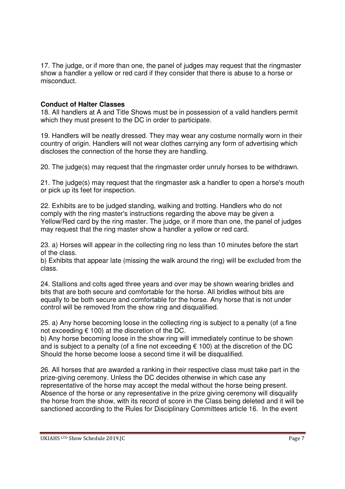17. The judge, or if more than one, the panel of judges may request that the ringmaster show a handler a yellow or red card if they consider that there is abuse to a horse or misconduct.

### **Conduct of Halter Classes**

18. All handlers at A and Title Shows must be in possession of a valid handlers permit which they must present to the DC in order to participate.

19. Handlers will be neatly dressed. They may wear any costume normally worn in their country of origin. Handlers will not wear clothes carrying any form of advertising which discloses the connection of the horse they are handling.

20. The judge(s) may request that the ringmaster order unruly horses to be withdrawn.

21. The judge(s) may request that the ringmaster ask a handler to open a horse's mouth or pick up its feet for inspection.

22. Exhibits are to be judged standing, walking and trotting. Handlers who do not comply with the ring master's instructions regarding the above may be given a Yellow/Red card by the ring master. The judge, or if more than one, the panel of judges may request that the ring master show a handler a yellow or red card.

23. a) Horses will appear in the collecting ring no less than 10 minutes before the start of the class.

b) Exhibits that appear late (missing the walk around the ring) will be excluded from the class.

24. Stallions and colts aged three years and over may be shown wearing bridles and bits that are both secure and comfortable for the horse. All bridles without bits are equally to be both secure and comfortable for the horse. Any horse that is not under control will be removed from the show ring and disqualified.

25. a) Any horse becoming loose in the collecting ring is subject to a penalty (of a fine not exceeding  $\epsilon$  100) at the discretion of the DC.

b) Any horse becoming loose in the show ring will immediately continue to be shown and is subject to a penalty (of a fine not exceeding  $\epsilon$  100) at the discretion of the DC Should the horse become loose a second time it will be disqualified.

26. All horses that are awarded a ranking in their respective class must take part in the prize-giving ceremony. Unless the DC decides otherwise in which case any representative of the horse may accept the medal without the horse being present. Absence of the horse or any representative in the prize giving ceremony will disqualify the horse from the show, with its record of score in the Class being deleted and it will be sanctioned according to the Rules for Disciplinary Committees article 16. In the event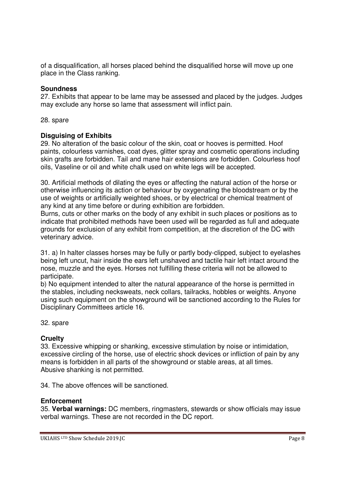of a disqualification, all horses placed behind the disqualified horse will move up one place in the Class ranking.

### **Soundness**

27. Exhibits that appear to be lame may be assessed and placed by the judges. Judges may exclude any horse so lame that assessment will inflict pain.

28. spare

### **Disguising of Exhibits**

29. No alteration of the basic colour of the skin, coat or hooves is permitted. Hoof paints, colourless varnishes, coat dyes, glitter spray and cosmetic operations including skin grafts are forbidden. Tail and mane hair extensions are forbidden. Colourless hoof oils, Vaseline or oil and white chalk used on white legs will be accepted.

30. Artificial methods of dilating the eyes or affecting the natural action of the horse or otherwise influencing its action or behaviour by oxygenating the bloodstream or by the use of weights or artificially weighted shoes, or by electrical or chemical treatment of any kind at any time before or during exhibition are forbidden.

Burns, cuts or other marks on the body of any exhibit in such places or positions as to indicate that prohibited methods have been used will be regarded as full and adequate grounds for exclusion of any exhibit from competition, at the discretion of the DC with veterinary advice.

31. a) In halter classes horses may be fully or partly body-clipped, subject to eyelashes being left uncut, hair inside the ears left unshaved and tactile hair left intact around the nose, muzzle and the eyes. Horses not fulfilling these criteria will not be allowed to participate.

b) No equipment intended to alter the natural appearance of the horse is permitted in the stables, including necksweats, neck collars, tailracks, hobbles or weights. Anyone using such equipment on the showground will be sanctioned according to the Rules for Disciplinary Committees article 16.

32. spare

### **Cruelty**

33. Excessive whipping or shanking, excessive stimulation by noise or intimidation, excessive circling of the horse, use of electric shock devices or infliction of pain by any means is forbidden in all parts of the showground or stable areas, at all times. Abusive shanking is not permitted.

34. The above offences will be sanctioned.

### **Enforcement**

35. **Verbal warnings:** DC members, ringmasters, stewards or show officials may issue verbal warnings. These are not recorded in the DC report.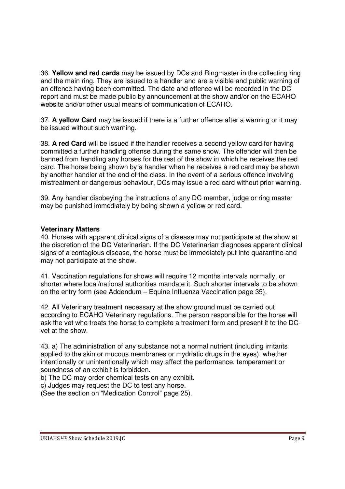36. **Yellow and red cards** may be issued by DCs and Ringmaster in the collecting ring and the main ring. They are issued to a handler and are a visible and public warning of an offence having been committed. The date and offence will be recorded in the DC report and must be made public by announcement at the show and/or on the ECAHO website and/or other usual means of communication of ECAHO.

37. **A yellow Card** may be issued if there is a further offence after a warning or it may be issued without such warning.

38. **A red Card** will be issued if the handler receives a second yellow card for having committed a further handling offense during the same show. The offender will then be banned from handling any horses for the rest of the show in which he receives the red card. The horse being shown by a handler when he receives a red card may be shown by another handler at the end of the class. In the event of a serious offence involving mistreatment or dangerous behaviour, DCs may issue a red card without prior warning.

39. Any handler disobeying the instructions of any DC member, judge or ring master may be punished immediately by being shown a yellow or red card.

### **Veterinary Matters**

40. Horses with apparent clinical signs of a disease may not participate at the show at the discretion of the DC Veterinarian. If the DC Veterinarian diagnoses apparent clinical signs of a contagious disease, the horse must be immediately put into quarantine and may not participate at the show.

41. Vaccination regulations for shows will require 12 months intervals normally, or shorter where local/national authorities mandate it. Such shorter intervals to be shown on the entry form (see Addendum – Equine Influenza Vaccination page 35).

42. All Veterinary treatment necessary at the show ground must be carried out according to ECAHO Veterinary regulations. The person responsible for the horse will ask the vet who treats the horse to complete a treatment form and present it to the DCvet at the show.

43. a) The administration of any substance not a normal nutrient (including irritants applied to the skin or mucous membranes or mydriatic drugs in the eyes), whether intentionally or unintentionally which may affect the performance, temperament or soundness of an exhibit is forbidden.

b) The DC may order chemical tests on any exhibit.

c) Judges may request the DC to test any horse.

(See the section on "Medication Control" page 25).

### UKIAHS LTD Show Schedule 2019.IC **Page 9**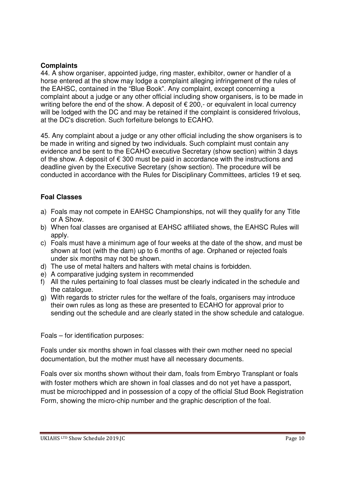### **Complaints**

44. A show organiser, appointed judge, ring master, exhibitor, owner or handler of a horse entered at the show may lodge a complaint alleging infringement of the rules of the EAHSC, contained in the "Blue Book". Any complaint, except concerning a complaint about a judge or any other official including show organisers, is to be made in writing before the end of the show. A deposit of  $\epsilon$  200,- or equivalent in local currency will be lodged with the DC and may be retained if the complaint is considered frivolous, at the DC's discretion. Such forfeiture belongs to ECAHO.

45. Any complaint about a judge or any other official including the show organisers is to be made in writing and signed by two individuals. Such complaint must contain any evidence and be sent to the ECAHO executive Secretary (show section) within 3 days of the show. A deposit of  $\epsilon$  300 must be paid in accordance with the instructions and deadline given by the Executive Secretary (show section). The procedure will be conducted in accordance with the Rules for Disciplinary Committees, articles 19 et seq.

### **Foal Classes**

- a) Foals may not compete in EAHSC Championships, not will they qualify for any Title or A Show.
- b) When foal classes are organised at EAHSC affiliated shows, the EAHSC Rules will apply.
- c) Foals must have a minimum age of four weeks at the date of the show, and must be shown at foot (with the dam) up to 6 months of age. Orphaned or rejected foals under six months may not be shown.
- d) The use of metal halters and halters with metal chains is forbidden.
- e) A comparative judging system in recommended
- f) All the rules pertaining to foal classes must be clearly indicated in the schedule and the catalogue.
- g) With regards to stricter rules for the welfare of the foals, organisers may introduce their own rules as long as these are presented to ECAHO for approval prior to sending out the schedule and are clearly stated in the show schedule and catalogue.

Foals – for identification purposes:

Foals under six months shown in foal classes with their own mother need no special documentation, but the mother must have all necessary documents.

Foals over six months shown without their dam, foals from Embryo Transplant or foals with foster mothers which are shown in foal classes and do not yet have a passport, must be microchipped and in possession of a copy of the official Stud Book Registration Form, showing the micro-chip number and the graphic description of the foal.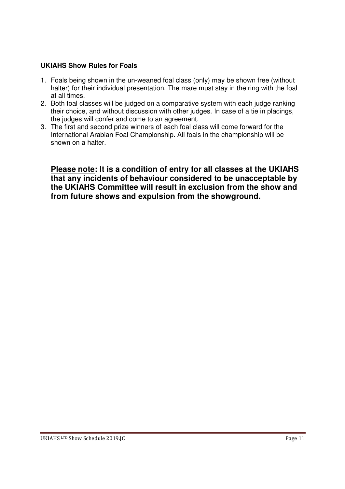### **UKIAHS Show Rules for Foals**

- 1. Foals being shown in the un-weaned foal class (only) may be shown free (without halter) for their individual presentation. The mare must stay in the ring with the foal at all times.
- 2. Both foal classes will be judged on a comparative system with each judge ranking their choice, and without discussion with other judges. In case of a tie in placings, the judges will confer and come to an agreement.
- 3. The first and second prize winners of each foal class will come forward for the International Arabian Foal Championship. All foals in the championship will be shown on a halter.

**Please note: It is a condition of entry for all classes at the UKIAHS that any incidents of behaviour considered to be unacceptable by the UKIAHS Committee will result in exclusion from the show and from future shows and expulsion from the showground.**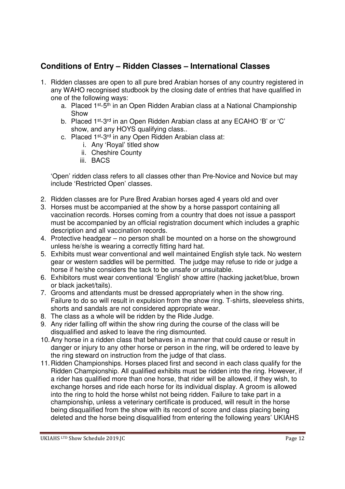# **Conditions of Entry – Ridden Classes – International Classes**

- 1. Ridden classes are open to all pure bred Arabian horses of any country registered in any WAHO recognised studbook by the closing date of entries that have qualified in one of the following ways:
	- a. Placed 1st-5th in an Open Ridden Arabian class at a National Championship Show
	- b. Placed 1<sup>st</sup>-3<sup>rd</sup> in an Open Ridden Arabian class at any ECAHO 'B' or 'C' show, and any HOYS qualifying class..
	- c. Placed 1st-3rd in any Open Ridden Arabian class at:
		- i. Any 'Royal' titled show
		- ii. Cheshire County
		- iii. BACS

'Open' ridden class refers to all classes other than Pre-Novice and Novice but may include 'Restricted Open' classes.

- 2. Ridden classes are for Pure Bred Arabian horses aged 4 years old and over
- 3. Horses must be accompanied at the show by a horse passport containing all vaccination records. Horses coming from a country that does not issue a passport must be accompanied by an official registration document which includes a graphic description and all vaccination records.
- 4. Protective headgear no person shall be mounted on a horse on the showground unless he/she is wearing a correctly fitting hard hat.
- 5. Exhibits must wear conventional and well maintained English style tack. No western gear or western saddles will be permitted. The judge may refuse to ride or judge a horse if he/she considers the tack to be unsafe or unsuitable.
- 6. Exhibitors must wear conventional 'English' show attire (hacking jacket/blue, brown or black jacket/tails).
- 7. Grooms and attendants must be dressed appropriately when in the show ring. Failure to do so will result in expulsion from the show ring. T-shirts, sleeveless shirts, shorts and sandals are not considered appropriate wear.
- 8. The class as a whole will be ridden by the Ride Judge.
- 9. Any rider falling off within the show ring during the course of the class will be disqualified and asked to leave the ring dismounted.
- 10. Any horse in a ridden class that behaves in a manner that could cause or result in danger or injury to any other horse or person in the ring, will be ordered to leave by the ring steward on instruction from the judge of that class.
- 11. Ridden Championships. Horses placed first and second in each class qualify for the Ridden Championship. All qualified exhibits must be ridden into the ring. However, if a rider has qualified more than one horse, that rider will be allowed, if they wish, to exchange horses and ride each horse for its individual display. A groom is allowed into the ring to hold the horse whilst not being ridden. Failure to take part in a championship, unless a veterinary certificate is produced, will result in the horse being disqualified from the show with its record of score and class placing being deleted and the horse being disqualified from entering the following years' UKIAHS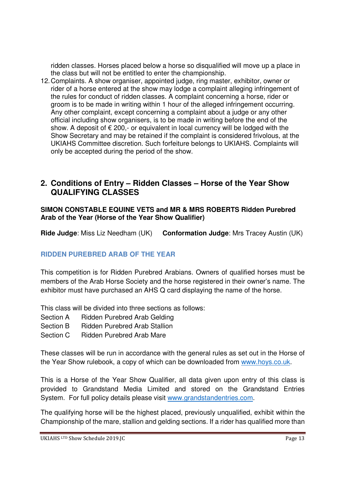ridden classes. Horses placed below a horse so disqualified will move up a place in the class but will not be entitled to enter the championship.

12. Complaints. A show organiser, appointed judge, ring master, exhibitor, owner or rider of a horse entered at the show may lodge a complaint alleging infringement of the rules for conduct of ridden classes. A complaint concerning a horse, rider or groom is to be made in writing within 1 hour of the alleged infringement occurring. Any other complaint, except concerning a complaint about a judge or any other official including show organisers, is to be made in writing before the end of the show. A deposit of  $\epsilon$  200,- or equivalent in local currency will be lodged with the Show Secretary and may be retained if the complaint is considered frivolous, at the UKIAHS Committee discretion. Such forfeiture belongs to UKIAHS. Complaints will only be accepted during the period of the show.

## **2. Conditions of Entry – Ridden Classes – Horse of the Year Show QUALIFYING CLASSES**

### **SIMON CONSTABLE EQUINE VETS and MR & MRS ROBERTS Ridden Purebred Arab of the Year (Horse of the Year Show Qualifier)**

**Ride Judge**: Miss Liz Needham (UK) **Conformation Judge**: Mrs Tracey Austin (UK)

### **RIDDEN PUREBRED ARAB OF THE YEAR**

This competition is for Ridden Purebred Arabians. Owners of qualified horses must be members of the Arab Horse Society and the horse registered in their owner's name. The exhibitor must have purchased an AHS Q card displaying the name of the horse.

This class will be divided into three sections as follows:

- Section A Ridden Purebred Arab Gelding
- Section B Ridden Purebred Arab Stallion
- Section C Ridden Purebred Arab Mare

These classes will be run in accordance with the general rules as set out in the Horse of the Year Show rulebook, a copy of which can be downloaded from www.hoys.co.uk.

This is a Horse of the Year Show Qualifier, all data given upon entry of this class is provided to Grandstand Media Limited and stored on the Grandstand Entries System. For full policy details please visit www.grandstandentries.com.

The qualifying horse will be the highest placed, previously unqualified, exhibit within the Championship of the mare, stallion and gelding sections. If a rider has qualified more than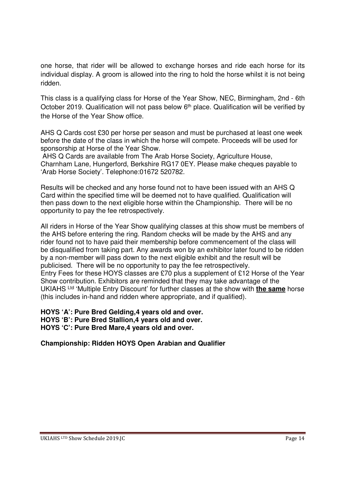one horse, that rider will be allowed to exchange horses and ride each horse for its individual display. A groom is allowed into the ring to hold the horse whilst it is not being ridden.

This class is a qualifying class for Horse of the Year Show, NEC, Birmingham, 2nd - 6th October 2019. Qualification will not pass below 6<sup>th</sup> place. Qualification will be verified by the Horse of the Year Show office.

AHS Q Cards cost £30 per horse per season and must be purchased at least one week before the date of the class in which the horse will compete. Proceeds will be used for sponsorship at Horse of the Year Show.

 AHS Q Cards are available from The Arab Horse Society, Agriculture House, Charnham Lane, Hungerford, Berkshire RG17 0EY. Please make cheques payable to 'Arab Horse Society'. Telephone:01672 520782.

Results will be checked and any horse found not to have been issued with an AHS Q Card within the specified time will be deemed not to have qualified. Qualification will then pass down to the next eligible horse within the Championship. There will be no opportunity to pay the fee retrospectively.

All riders in Horse of the Year Show qualifying classes at this show must be members of the AHS before entering the ring. Random checks will be made by the AHS and any rider found not to have paid their membership before commencement of the class will be disqualified from taking part. Any awards won by an exhibitor later found to be ridden by a non-member will pass down to the next eligible exhibit and the result will be publicised. There will be no opportunity to pay the fee retrospectively. Entry Fees for these HOYS classes are £70 plus a supplement of £12 Horse of the Year Show contribution. Exhibitors are reminded that they may take advantage of the UKIAHS Ltd 'Multiple Entry Discount' for further classes at the show with **the same** horse (this includes in-hand and ridden where appropriate, and if qualified).

**HOYS 'A': Pure Bred Gelding,4 years old and over. HOYS 'B': Pure Bred Stallion,4 years old and over. HOYS 'C': Pure Bred Mare,4 years old and over.** 

**Championship: Ridden HOYS Open Arabian and Qualifier**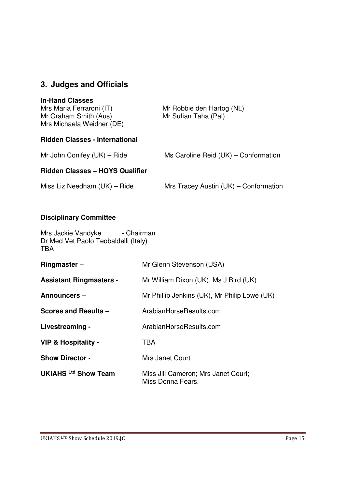# **3. Judges and Officials**

### **In-Hand Classes**

| Mrs Maria Ferraroni (IT)<br>Mr Graham Smith (Aus)<br>Mrs Michaela Weidner (DE) | Mr Robbie den Hartog (NL)<br>Mr Sufian Taha (Pal) |
|--------------------------------------------------------------------------------|---------------------------------------------------|
| <b>Ridden Classes - International</b>                                          |                                                   |

Mr John Conifey  $(UK)$  – Ride Ms Caroline Reid  $(UK)$  – Conformation

### **Ridden Classes – HOYS Qualifier**

Miss Liz Needham  $(UK)$  – Ride Mrs Tracey Austin  $(UK)$  – Conformation

### **Disciplinary Committee**

Mrs Jackie Vandyke - Chairman Dr Med Vet Paolo Teobaldelli (Italy) TBA

| Ringmaster $-$                 | Mr Glenn Stevenson (USA)                                 |
|--------------------------------|----------------------------------------------------------|
| <b>Assistant Ringmasters -</b> | Mr William Dixon (UK), Ms J Bird (UK)                    |
| Announcers -                   | Mr Phillip Jenkins (UK), Mr Philip Lowe (UK)             |
| Scores and Results -           | ArabianHorseResults.com                                  |
| Livestreaming -                | ArabianHorseResults.com                                  |
| VIP & Hospitality -            | TBA                                                      |
| <b>Show Director -</b>         | Mrs Janet Court                                          |
| <b>UKIAHS Ltd Show Team -</b>  | Miss Jill Cameron; Mrs Janet Court;<br>Miss Donna Fears. |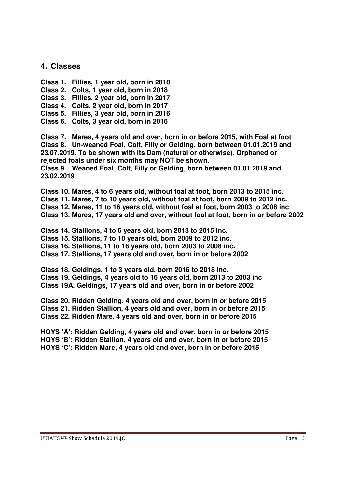### **4. Classes**

- **Class 1. Fillies, 1 year old, born in 2018**
- **Class 2. Colts, 1 year old, born in 2018**
- **Class 3. Fillies, 2 year old, born in 2017**
- **Class 4. Colts, 2 year old, born in 2017**
- **Class 5. Fillies, 3 year old, born in 2016**
- **Class 6. Colts, 3 year old, born in 2016**

**Class 7. Mares, 4 years old and over, born in or before 2015, with Foal at foot Class 8. Un-weaned Foal, Colt, Filly or Gelding, born between 01.01.2019 and 23.07.2019. To be shown with its Dam (natural or otherwise). Orphaned or rejected foals under six months may NOT be shown. Class 9. Weaned Foal, Colt, Filly or Gelding, born between 01.01.2019 and 23.02.2019** 

**Class 10. Mares, 4 to 6 years old, without foal at foot, born 2013 to 2015 inc. Class 11. Mares, 7 to 10 years old, without foal at foot, born 2009 to 2012 inc. Class 12. Mares, 11 to 16 years old, without foal at foot, born 2003 to 2008 inc Class 13. Mares, 17 years old and over, without foal at foot, born in or before 2002** 

**Class 14. Stallions, 4 to 6 years old, born 2013 to 2015 inc. Class 15. Stallions, 7 to 10 years old, born 2009 to 2012 inc. Class 16. Stallions, 11 to 16 years old, born 2003 to 2008 inc. Class 17. Stallions, 17 years old and over, born in or before 2002** 

**Class 18. Geldings, 1 to 3 years old, born 2016 to 2018 inc. Class 19. Geldings, 4 years old to 16 years old, born 2013 to 2003 inc Class 19A. Geldings, 17 years old and over, born in or before 2002** 

**Class 20. Ridden Gelding, 4 years old and over, born in or before 2015 Class 21. Ridden Stallion, 4 years old and over, born in or before 2015 Class 22. Ridden Mare, 4 years old and over, born in or before 2015** 

**HOYS 'A': Ridden Gelding, 4 years old and over, born in or before 2015 HOYS 'B': Ridden Stallion, 4 years old and over, born in or before 2015 HOYS 'C': Ridden Mare, 4 years old and over, born in or before 2015**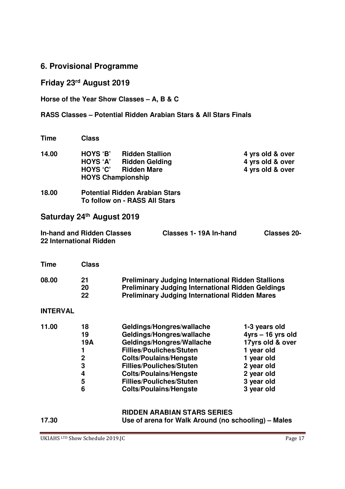### **6. Provisional Programme**

# **Friday 23rd August 2019**

**Horse of the Year Show Classes – A, B & C** 

### **RASS Classes – Potential Ridden Arabian Stars & All Stars Finals**

| <b>Time</b> | <b>Class</b>                                                 |                                                                        |                                                          |
|-------------|--------------------------------------------------------------|------------------------------------------------------------------------|----------------------------------------------------------|
| 14.00       | HOYS 'B'<br>HOYS 'A'<br>HOYS 'C'<br><b>HOYS Championship</b> | <b>Ridden Stallion</b><br><b>Ridden Gelding</b><br><b>Ridden Mare</b>  | 4 yrs old & over<br>4 yrs old & over<br>4 yrs old & over |
| 18.00       |                                                              | <b>Potential Ridden Arabian Stars</b><br>To follow on - RASS All Stars |                                                          |

# **Saturday 24th August 2019**

| <b>In-hand and Ridden Classes</b> | Classes 1-19A In-hand | Classes 20- |
|-----------------------------------|-----------------------|-------------|
| 22 International Ridden           |                       |             |

| Class          |                                                                                                                                                                                |
|----------------|--------------------------------------------------------------------------------------------------------------------------------------------------------------------------------|
| 21<br>20<br>22 | <b>Preliminary Judging International Ridden Stallions</b><br><b>Preliminary Judging International Ridden Geldings</b><br><b>Preliminary Judging International Ridden Mares</b> |
|                |                                                                                                                                                                                |

### **INTERVAL**

| 11.00 | 18  | Geldings/Hongres/wallache       | 1-3 years old      |
|-------|-----|---------------------------------|--------------------|
|       | 19  | Geldings/Hongres/wallache       | $4yrs - 16yrs$ old |
|       | 19A | Geldings/Hongres/Wallache       | 17yrs old & over   |
|       |     | <b>Fillies/Pouliches/Stuten</b> | 1 year old         |
|       | 2   | <b>Colts/Poulains/Hengste</b>   | 1 year old         |
|       | 3   | <b>Fillies/Pouliches/Stuten</b> | 2 year old         |
|       | 4   | <b>Colts/Poulains/Hengste</b>   | 2 year old         |
|       | 5   | <b>Fillies/Pouliches/Stuten</b> | 3 year old         |
|       | 6   | <b>Colts/Poulains/Hengste</b>   | 3 year old         |
|       |     |                                 |                    |

# **RIDDEN ARABIAN STARS SERIES**<br>Use of arena for Walk Around (no s

**17.30 Use of arena for Walk Around (no schooling) – Males**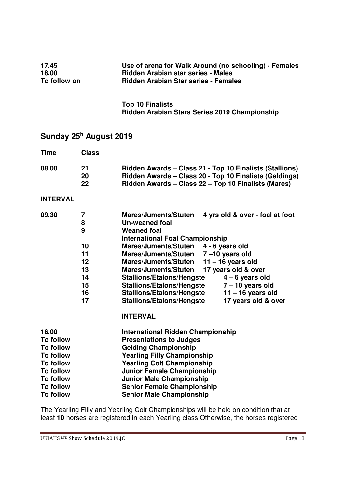| 17.45<br>18.00<br>To follow on                                                                                                                                        |                                                             | Use of arena for Walk Around (no schooling) - Females<br>Ridden Arabian star series - Males<br><b>Ridden Arabian Star series - Females</b>                                                                                                                                                                                                                                                                                  |                                                                                                                                                                                           |
|-----------------------------------------------------------------------------------------------------------------------------------------------------------------------|-------------------------------------------------------------|-----------------------------------------------------------------------------------------------------------------------------------------------------------------------------------------------------------------------------------------------------------------------------------------------------------------------------------------------------------------------------------------------------------------------------|-------------------------------------------------------------------------------------------------------------------------------------------------------------------------------------------|
|                                                                                                                                                                       |                                                             | <b>Top 10 Finalists</b><br>Ridden Arabian Stars Series 2019 Championship                                                                                                                                                                                                                                                                                                                                                    |                                                                                                                                                                                           |
|                                                                                                                                                                       | Sunday 25 <sup>h</sup> August 2019                          |                                                                                                                                                                                                                                                                                                                                                                                                                             |                                                                                                                                                                                           |
| <b>Time</b>                                                                                                                                                           | <b>Class</b>                                                |                                                                                                                                                                                                                                                                                                                                                                                                                             |                                                                                                                                                                                           |
| 08.00                                                                                                                                                                 | 21<br>20<br>22                                              | Ridden Awards – Class 21 - Top 10 Finalists (Stallions)<br>Ridden Awards - Class 20 - Top 10 Finalists (Geldings)<br>Ridden Awards - Class 22 - Top 10 Finalists (Mares)                                                                                                                                                                                                                                                    |                                                                                                                                                                                           |
| <b>INTERVAL</b>                                                                                                                                                       |                                                             |                                                                                                                                                                                                                                                                                                                                                                                                                             |                                                                                                                                                                                           |
| 09.30                                                                                                                                                                 | 7<br>8<br>9<br>10<br>11<br>12<br>13<br>14<br>15<br>16<br>17 | <b>Mares/Juments/Stuten</b><br><b>Un-weaned foal</b><br><b>Weaned foal</b><br><b>International Foal Championship</b><br><b>Mares/Juments/Stuten</b><br>Mares/Juments/Stuten 7-10 years old<br><b>Mares/Juments/Stuten</b><br><b>Mares/Juments/Stuten</b><br><b>Stallions/Etalons/Hengste</b><br><b>Stallions/Etalons/Hengste</b><br><b>Stallions/Etalons/Hengste</b><br><b>Stallions/Etalons/Hengste</b><br><b>INTERVAL</b> | 4 yrs old & over - foal at foot<br>4 - 6 years old<br>$11 - 16$ years old<br>17 years old & over<br>$4 - 6$ years old<br>$7 - 10$ years old<br>$11 - 16$ years old<br>17 years old & over |
| 16.00<br><b>To follow</b><br><b>To follow</b><br><b>To follow</b><br><b>To follow</b><br><b>To follow</b><br><b>To follow</b><br><b>To follow</b><br><b>To follow</b> |                                                             | <b>International Ridden Championship</b><br><b>Presentations to Judges</b><br><b>Gelding Championship</b><br><b>Yearling Filly Championship</b><br><b>Yearling Colt Championship</b><br><b>Junior Female Championship</b><br><b>Junior Male Championship</b><br><b>Senior Female Championship</b><br><b>Senior Male Championship</b>                                                                                        |                                                                                                                                                                                           |

The Yearling Filly and Yearling Colt Championships will be held on condition that at least **10** horses are registered in each Yearling class Otherwise, the horses registered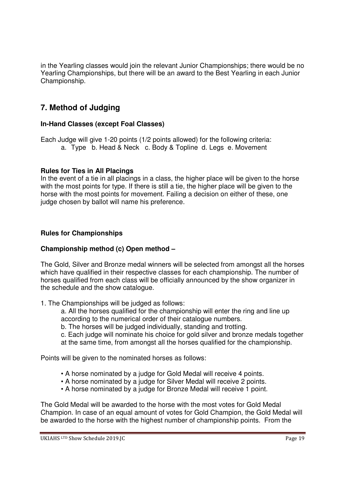in the Yearling classes would join the relevant Junior Championships; there would be no Yearling Championships, but there will be an award to the Best Yearling in each Junior Championship.

# **7. Method of Judging**

### **In-Hand Classes (except Foal Classes)**

Each Judge will give 1-20 points (1/2 points allowed) for the following criteria: a. Type b. Head & Neck c. Body & Topline d. Legs e. Movement

### **Rules for Ties in All Placings**

In the event of a tie in all placings in a class, the higher place will be given to the horse with the most points for type. If there is still a tie, the higher place will be given to the horse with the most points for movement. Failing a decision on either of these, one judge chosen by ballot will name his preference.

### **Rules for Championships**

### **Championship method (c) Open method –**

The Gold, Silver and Bronze medal winners will be selected from amongst all the horses which have qualified in their respective classes for each championship. The number of horses qualified from each class will be officially announced by the show organizer in the schedule and the show catalogue.

1. The Championships will be judged as follows:

a. All the horses qualified for the championship will enter the ring and line up according to the numerical order of their catalogue numbers.

b. The horses will be judged individually, standing and trotting.

c. Each judge will nominate his choice for gold silver and bronze medals together at the same time, from amongst all the horses qualified for the championship.

Points will be given to the nominated horses as follows:

- A horse nominated by a judge for Gold Medal will receive 4 points.
- A horse nominated by a judge for Silver Medal will receive 2 points.
- A horse nominated by a judge for Bronze Medal will receive 1 point.

The Gold Medal will be awarded to the horse with the most votes for Gold Medal Champion. In case of an equal amount of votes for Gold Champion, the Gold Medal will be awarded to the horse with the highest number of championship points. From the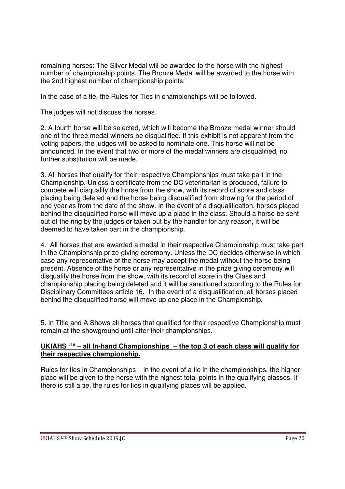remaining horses: The Silver Medal will be awarded to the horse with the highest number of championship points. The Bronze Medal will be awarded to the horse with the 2nd highest number of championship points.

In the case of a tie, the Rules for Ties in championships will be followed.

The judges will not discuss the horses.

2. A fourth horse will be selected, which will become the Bronze medal winner should one of the three medal winners be disqualified. If this exhibit is not apparent from the voting papers, the judges will be asked to nominate one. This horse will not be announced. In the event that two or more of the medal winners are disqualified, no further substitution will be made.

3. All horses that qualify for their respective Championships must take part in the Championship. Unless a certificate from the DC veterinarian is produced, failure to compete will disqualify the horse from the show, with its record of score and class placing being deleted and the horse being disqualified from showing for the period of one year as from the date of the show. In the event of a disqualification, horses placed behind the disqualified horse will move up a place in the class. Should a horse be sent out of the ring by the judges or taken out by the handler for any reason, it will be deemed to have taken part in the championship.

4. All horses that are awarded a medal in their respective Championship must take part in the Championship prize-giving ceremony. Unless the DC decides otherwise in which case any representative of the horse may accept the medal without the horse being present. Absence of the horse or any representative in the prize giving ceremony will disqualify the horse from the show, with its record of score in the Class and championship placing being deleted and it will be sanctioned according to the Rules for Disciplinary Committees article 16. In the event of a disqualification, all horses placed behind the disqualified horse will move up one place in the Championship.

5. In Title and A Shows all horses that qualified for their respective Championship must remain at the showground until after their championships.

### **UKIAHS Ltd – all In-hand Championships – the top 3 of each class will qualify for their respective championship.**

Rules for ties in Championships – in the event of a tie in the championships, the higher place will be given to the horse with the highest total points in the qualifying classes. If there is still a tie, the rules for ties in qualifying places will be applied.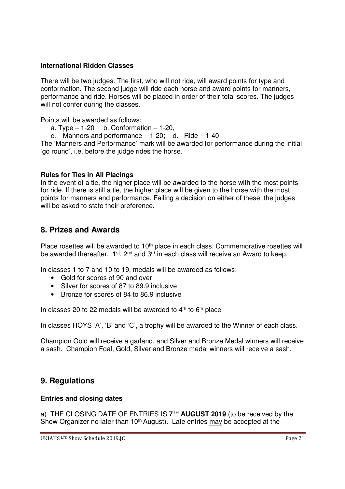### **International Ridden Classes**

There will be two judges. The first, who will not ride, will award points for type and conformation. The second judge will ride each horse and award points for manners, performance and ride. Horses will be placed in order of their total scores. The judges will not confer during the classes.

Points will be awarded as follows:

- a. Type  $-1-20$  b. Conformation  $-1-20$ ,
- c. Manners and performance  $-1-20$ ; d. Ride  $-1-40$

The 'Manners and Performance' mark will be awarded for performance during the initial 'go round', i.e. before the judge rides the horse.

### **Rules for Ties in All Placings**

In the event of a tie, the higher place will be awarded to the horse with the most points for ride. If there is still a tie, the higher place will be given to the horse with the most points for manners and performance. Failing a decision on either of these, the judges will be asked to state their preference.

### **8. Prizes and Awards**

Place rosettes will be awarded to 10<sup>th</sup> place in each class. Commemorative rosettes will be awarded thereafter.  $1^{st}$ ,  $2^{nd}$  and  $3^{rd}$  in each class will receive an Award to keep.

In classes 1 to 7 and 10 to 19, medals will be awarded as follows:

- Gold for scores of 90 and over
- Silver for scores of 87 to 89.9 inclusive
- Bronze for scores of 84 to 86.9 inclusive

In classes 20 to 22 medals will be awarded to  $4<sup>th</sup>$  to  $6<sup>th</sup>$  place

In classes HOYS 'A', 'B' and 'C', a trophy will be awarded to the Winner of each class.

Champion Gold will receive a garland, and Silver and Bronze Medal winners will receive a sash. Champion Foal, Gold, Silver and Bronze medal winners will receive a sash.

## **9. Regulations**

### **Entries and closing dates**

a) THE CLOSING DATE OF ENTRIES IS **7 TH AUGUST 2019** (to be received by the Show Organizer no later than 10<sup>th</sup> August). Late entries may be accepted at the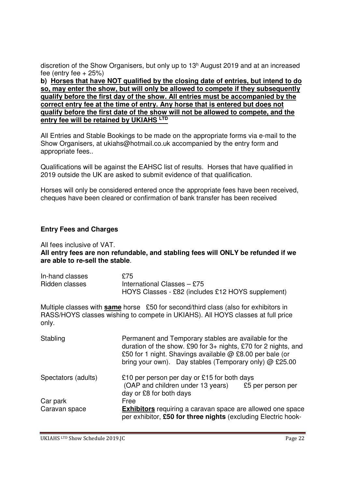discretion of the Show Organisers, but only up to 13<sup>h</sup> August 2019 and at an increased fee (entry fee  $+25%$ )

**b) Horses that have NOT qualified by the closing date of entries, but intend to do so, may enter the show, but will only be allowed to compete if they subsequently qualify before the first day of the show. All entries must be accompanied by the correct entry fee at the time of entry. Any horse that is entered but does not qualify before the first date of the show will not be allowed to compete, and the entry fee will be retained by UKIAHS LTD**

All Entries and Stable Bookings to be made on the appropriate forms via e-mail to the Show Organisers, at ukiahs@hotmail.co.uk accompanied by the entry form and appropriate fees..

Qualifications will be against the EAHSC list of results. Horses that have qualified in 2019 outside the UK are asked to submit evidence of that qualification.

Horses will only be considered entered once the appropriate fees have been received, cheques have been cleared or confirmation of bank transfer has been received

### **Entry Fees and Charges**

All fees inclusive of VAT.

**All entry fees are non refundable, and stabling fees will ONLY be refunded if we are able to re-sell the stable**.

| In-hand classes | £75                                               |
|-----------------|---------------------------------------------------|
| Ridden classes  | International Classes $-$ £75                     |
|                 | HOYS Classes - £82 (includes £12 HOYS supplement) |

Multiple classes with **same** horse £50 for second/third class (also for exhibitors in RASS/HOYS classes wishing to compete in UKIAHS). All HOYS classes at full price only.

| Stabling            | Permanent and Temporary stables are available for the<br>duration of the show. £90 for 3+ nights, £70 for 2 nights, and<br>£50 for 1 night. Shavings available @ £8.00 per bale (or<br>bring your own). Day stables (Temporary only) @ £25.00 |
|---------------------|-----------------------------------------------------------------------------------------------------------------------------------------------------------------------------------------------------------------------------------------------|
| Spectators (adults) | £10 per person per day or £15 for both days<br>(OAP and children under 13 years)<br>£5 per person per<br>day or £8 for both days                                                                                                              |
| Car park            | Free                                                                                                                                                                                                                                          |
| Caravan space       | Exhibitors requiring a caravan space are allowed one space<br>per exhibitor, £50 for three nights (excluding Electric hook-                                                                                                                   |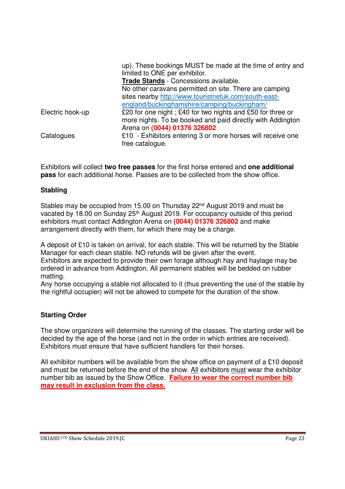|                  | up). These bookings MUST be made at the time of entry and   |
|------------------|-------------------------------------------------------------|
|                  | limited to ONE per exhibitor.                               |
|                  | Trade Stands - Concessions available.                       |
|                  | No other caravans permitted on site. There are camping      |
|                  | sites nearby http://www.touristnetuk.com/south-east-        |
|                  | england/buckinghamshire/camping/buckingham/                 |
| Electric hook-up | £20 for one night; £40 for two nights and £50 for three or  |
|                  | more nights. To be booked and paid directly with Addington  |
|                  | Arena on (0044) 01376 326802                                |
| Catalogues       | £10 - Exhibitors entering 3 or more horses will receive one |
|                  | free catalogue.                                             |

Exhibitors will collect **two free passes** for the first horse entered and **one additional pass** for each additional horse. Passes are to be collected from the show office.

### **Stabling**

Stables may be occupied from 15.00 on Thursday 22<sup>nd</sup> August 2019 and must be vacated by 18.00 on Sunday 25<sup>th</sup> August 2019. For occupancy outside of this period exhibitors must contact Addington Arena on **(0044) 01376 326802** and make arrangement directly with them, for which there may be a charge.

A deposit of £10 is taken on arrival, for each stable. This will be returned by the Stable Manager for each clean stable. NO refunds will be given after the event. Exhibitors are expected to provide their own forage although hay and haylage may be ordered in advance from Addington. All permanent stables will be bedded on rubber matting.

Any horse occupying a stable not allocated to it (thus preventing the use of the stable by the rightful occupier) will not be allowed to compete for the duration of the show.

### **Starting Order**

The show organizers will determine the running of the classes. The starting order will be decided by the age of the horse (and not in the order in which entries are received). Exhibitors must ensure that have sufficient handlers for their horses.

All exhibitor numbers will be available from the show office on payment of a £10 deposit and must be returned before the end of the show. All exhibitors must wear the exhibitor number bib as issued by the Show Office. **Failure to wear the correct number bib may result in exclusion from the class.**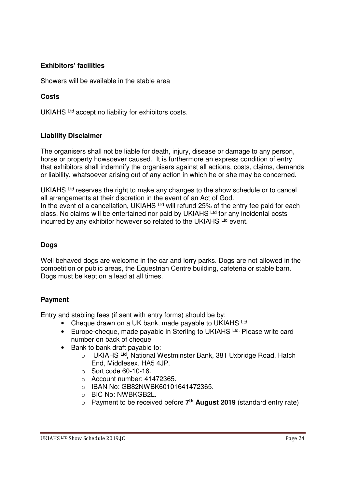### **Exhibitors' facilities**

Showers will be available in the stable area

### **Costs**

UKIAHS Ltd accept no liability for exhibitors costs.

### **Liability Disclaimer**

The organisers shall not be liable for death, injury, disease or damage to any person, horse or property howsoever caused. It is furthermore an express condition of entry that exhibitors shall indemnify the organisers against all actions, costs, claims, demands or liability, whatsoever arising out of any action in which he or she may be concerned.

UKIAHS  $<sup>Ltd</sup>$  reserves the right to make any changes to the show schedule or to cancel</sup> all arrangements at their discretion in the event of an Act of God. In the event of a cancellation, UKIAHS  $Ltd$  will refund 25% of the entry fee paid for each class. No claims will be entertained nor paid by UKIAHS Ltd for any incidental costs incurred by any exhibitor however so related to the UKIAHS Ltd event.

### **Dogs**

Well behaved dogs are welcome in the car and lorry parks. Dogs are not allowed in the competition or public areas, the Equestrian Centre building, cafeteria or stable barn. Dogs must be kept on a lead at all times.

### **Payment**

Entry and stabling fees (if sent with entry forms) should be by:

- Cheque drawn on a UK bank, made payable to UKIAHS Ltd
- Europe-cheque, made payable in Sterling to UKIAHS Ltd. Please write card number on back of cheque
- Bank to bank draft payable to:
	- o UKIAHS Ltd, National Westminster Bank, 381 Uxbridge Road, Hatch End, Middlesex. HA5 4JP.
	- o Sort code 60-10-16.
	- o Account number: 41472365.
	- o IBAN No: GB82NWBK60101641472365.
	- o BIC No: NWBKGB2L.
	- o Payment to be received before **7 th August 2019** (standard entry rate)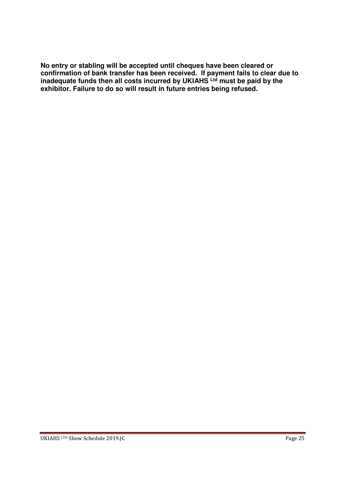**No entry or stabling will be accepted until cheques have been cleared or confirmation of bank transfer has been received. If payment fails to clear due to inadequate funds then all costs incurred by UKIAHS Ltd must be paid by the exhibitor. Failure to do so will result in future entries being refused.**